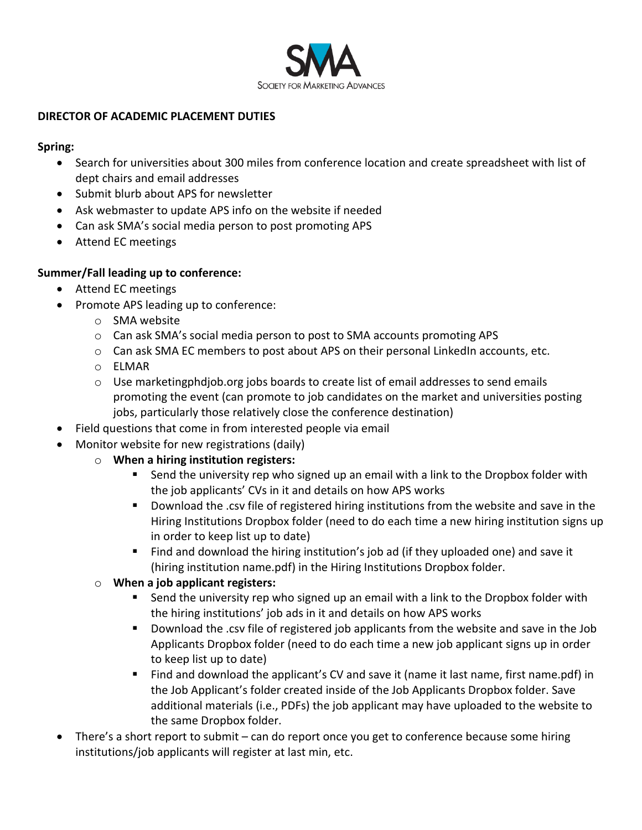

## **DIRECTOR OF ACADEMIC PLACEMENT DUTIES**

## **Spring:**

- Search for universities about 300 miles from conference location and create spreadsheet with list of dept chairs and email addresses
- Submit blurb about APS for newsletter
- Ask webmaster to update APS info on the website if needed
- Can ask SMA's social media person to post promoting APS
- Attend EC meetings

# **Summer/Fall leading up to conference:**

- Attend EC meetings
- Promote APS leading up to conference:
	- o SMA website
	- o Can ask SMA's social media person to post to SMA accounts promoting APS
	- o Can ask SMA EC members to post about APS on their personal LinkedIn accounts, etc.
	- o ELMAR
	- $\circ$  Use marketingphdjob.org jobs boards to create list of email addresses to send emails promoting the event (can promote to job candidates on the market and universities posting jobs, particularly those relatively close the conference destination)
- Field questions that come in from interested people via email
- Monitor website for new registrations (daily)
	- o **When a hiring institution registers:**
		- **Send the university rep who signed up an email with a link to the Dropbox folder with** the job applicants' CVs in it and details on how APS works
		- Download the .csv file of registered hiring institutions from the website and save in the Hiring Institutions Dropbox folder (need to do each time a new hiring institution signs up in order to keep list up to date)
		- Find and download the hiring institution's job ad (if they uploaded one) and save it (hiring institution name.pdf) in the Hiring Institutions Dropbox folder.
	- o **When a job applicant registers:**
		- Send the university rep who signed up an email with a link to the Dropbox folder with the hiring institutions' job ads in it and details on how APS works
		- Download the .csv file of registered job applicants from the website and save in the Job Applicants Dropbox folder (need to do each time a new job applicant signs up in order to keep list up to date)
		- Find and download the applicant's CV and save it (name it last name, first name.pdf) in the Job Applicant's folder created inside of the Job Applicants Dropbox folder. Save additional materials (i.e., PDFs) the job applicant may have uploaded to the website to the same Dropbox folder.
- There's a short report to submit can do report once you get to conference because some hiring institutions/job applicants will register at last min, etc.